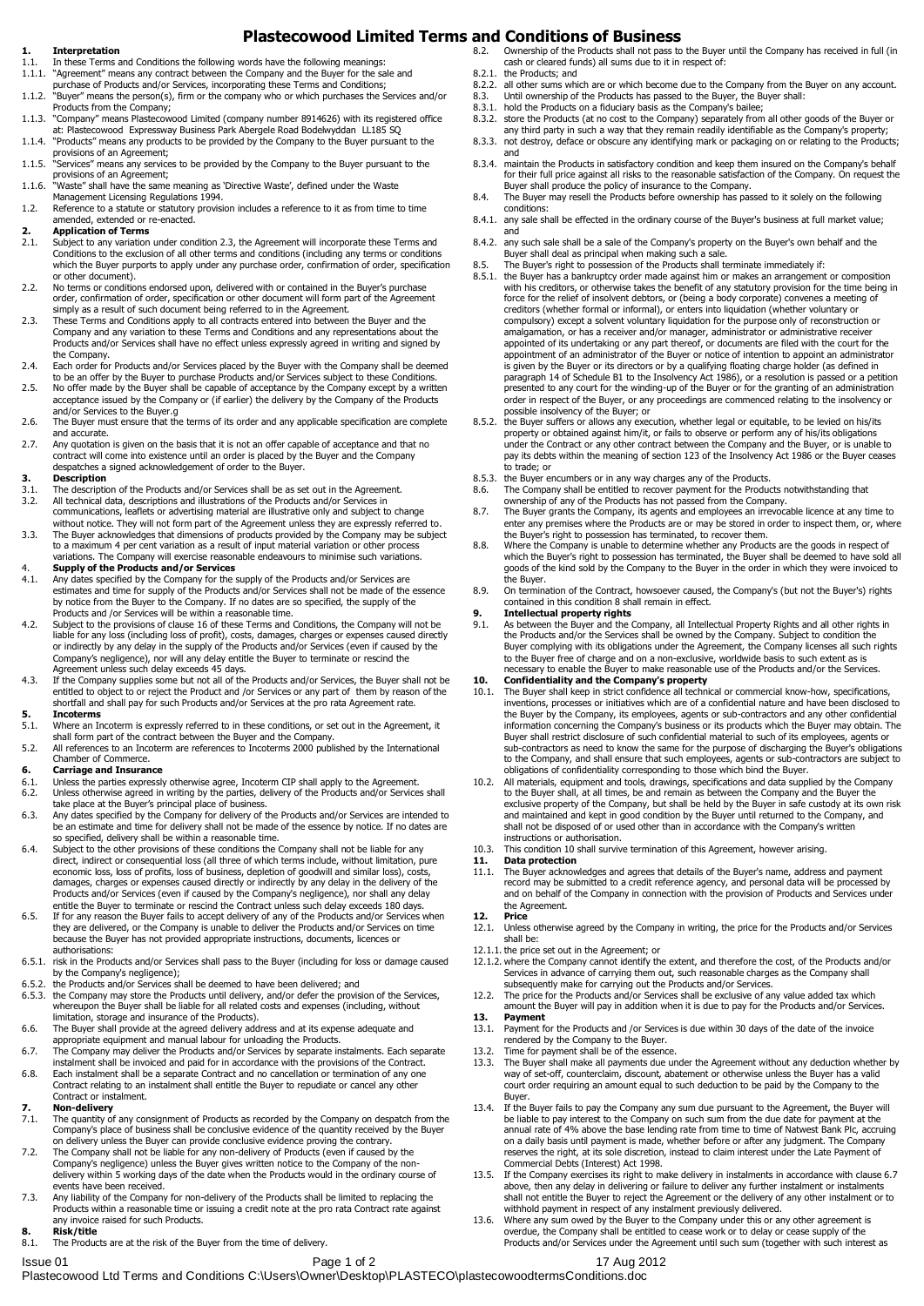# **Plastecowood Limited Terms and Conditions of Business**

### **1. Interpretation**

- 1.1. In these Terms and Conditions the following words have the following meanings:<br>1.1.1. "Agreement" means any contract between the Company and the Buver for the sa
- "Agreement" means any contract between the Company and the Buyer for the sale and purchase of Products and/or Services, incorporating these Terms and Conditions;
- 1.1.2. "Buyer" means the person(s), firm or the company who or which purchases the Services and/or Products from the Company;
- 1.1.3. "Company" means Plastecowood Limited (company number 8914626) with its registered office at: Plastecowood Expressway Business Park Abergele Road Bodelwyddan LL185 SQ
- 1.1.4. "Products" means any products to be provided by the Company to the Buyer pursuant to the
- provisions of an Agreement; 1.1.5. "Services" means any services to be provided by the Company to the Buyer pursuant to the provisions of an Agreement;
- 1.1.6. "Waste" shall have the same meaning as 'Directive Waste', defined under the Waste Management Licensing Regulations 1994.
- 1.2. Reference to a statute or statutory provision includes a reference to it as from time to time amended, extended or re-enacted.
- **2. Application of Terms**
- 2.1. Subject to any variation under condition 2.3, the Agreement will incorporate these Terms and Conditions to the exclusion of all other terms and conditions (including any terms or conditions which the Buyer purports to apply under any purchase order, confirmation of order, specification or other document).
- 2.2. No terms or conditions endorsed upon, delivered with or contained in the Buyer's purchase order, confirmation of order, specification or other document will form part of the Agreement simply as a result of such document being referred to in the Agreement.
- 2.3. These Terms and Conditions apply to all contracts entered into between the Buyer and the Company and any variation to these Terms and Conditions and any representations about the Products and/or Services shall have no effect unless expressly agreed in writing and signed by the Company.
- 2.4. Each order for Products and/or Services placed by the Buyer with the Company shall be deemed
- to be an offer by the Buyer to purchase Products and/or Services subject to these Conditions. 2.5. No offer made by the Buyer shall be capable of acceptance by the Company except by a written acceptance issued by the Company or (if earlier) the delivery by the Company of the Products and/or Services to the Buyer.g
- 2.6. The Buyer must ensure that the terms of its order and any applicable specification are complete and accurate.
- 2.7. Any quotation is given on the basis that it is not an offer capable of acceptance and that no contract will come into existence until an order is placed by the Buyer and the Company despatches a signed acknowledgement of order to the Buyer.

### **3. Description**

- 3.1. The description of the Products and/or Services shall be as set out in the Agreement.<br>3.2. All technical data, descriptions and illustrations of the Products and/or Services in 3.2. All technical data, descriptions and illustrations of the Products and/or Services in
- 
- communications, leaflets or advertising material are illustrative only and subject to change without notice. They will not form part of the Agreement unless they are expressly referred to.
- 3.3. The Buyer acknowledges that dimensions of products provided by the Company may be subject to a maximum 4 per cent variation as a result of input material variation or other process variations. The Company will exercise reasonable endeavours to minimise such variations.
- 4. **Supply of the Products and/or Services** 4.1. Any dates specified by the Company for the supply of the Products and/or Services are estimates and time for supply of the Products and/or Services shall not be made of the essence by notice from the Buyer to the Company. If no dates are so specified, the supply of the Products and /or Services will be within a reasonable time.
- 4.2. Subject to the provisions of clause 16 of these Terms and Conditions, the Company will not be liable for any loss (including loss of profit), costs, damages, charges or expenses caused directly or indirectly by any delay in the supply of the Products and/or Services (even if caused by the Company's negligence), nor will any delay entitle the Buyer to terminate or rescind the
- Agreement unless such delay exceeds 45 days. 4.3. If the Company supplies some but not all of the Products and/or Services, the Buyer shall not be entitled to object to or reject the Product and /or Services or any part of them by reason of the shortfall and shall pay for such Products and/or Services at the pro rata Agreement rate.

# **5. Incoterms**<br>**5.1.** Where an In

- Where an Incoterm is expressly referred to in these conditions, or set out in the Agreement, it shall form part of the contract between the Buyer and the Company.
- 5.2. All references to an Incoterm are references to Incoterms 2000 published by the International Chamber of Commerce.

## **6. Carriage and Insurance**

- 
- 6.1. Unless the parties expressly otherwise agree, Incoterm CIP shall apply to the Agreement. 6.2. Unless otherwise agreed in writing by the parties, delivery of the Products and/or Services shall take place at the Buyer's principal place of business. 6.3. Any dates specified by the Company for delivery of the Products and/or Services are intended to
- be an estimate and time for delivery shall not be made of the essence by notice. If no dates are so specified, delivery shall be within a reasonable time.
- 6.4. Subject to the other provisions of these conditions the Company shall not be liable for any direct, indirect or consequential loss (all three of which terms include, without limitation, pure<br>economic loss, loss of profits, loss of business, depletion of goodwill and similar loss), costs,<br>damages, charges or expen Products and/or Services (even if caused by the Company's negligence), nor shall any delay entitle the Buyer to terminate or rescind the Contract unless such delay exceeds 180 days.
- 6.5. If for any reason the Buyer fails to accept delivery of any of the Products and/or Services when they are delivered, or the Company is unable to deliver the Products and/or Services on time because the Buyer has not provided appropriate instructions, documents, licences or authorisations:
- 6.5.1. risk in the Products and/or Services shall pass to the Buyer (including for loss or damage caused
- by the Company's negligence); 6.5.2. the Products and/or Services shall be deemed to have been delivered; and
- 6.5.3. the Company may store the Products until delivery, and/or defer the provision of the Services, whereupon the Buyer shall be liable for all related costs and expenses (including, without limitation, storage and insurance of the Products).
- 6.6. The Buyer shall provide at the agreed delivery address and at its expense adequate and<br>appropriate equipment and manual labour for unloading the Products.<br>6.7. The Company may deliver the Products and/or Services by s
- 
- 6.8. Each instalment shall be a separate Contract and no cancellation or termination of any one Contract relating to an instalment shall entitle the Buyer to repudiate or cancel any other Contract or instalment.

- **7. Non-delivery** 7.1. The quantity of any consignment of Products as recorded by the Company on despatch from the Company's place of business shall be conclusive evidence of the quantity received by the Buyer on delivery unless the Buyer can provide conclusive evidence proving the contrary.
- 7.2. The Company shall not be liable for any non-delivery of Products (even if caused by the Company's negligence) unless the Buyer gives written notice to the Company of the non-delivery within 5 working days of the date when the Products would in the ordinary course of events have been received.
- 7.3. Any liability of the Company for non-delivery of the Products shall be limited to replacing the Products within a reasonable time or issuing a credit note at the pro rata Contract rate against any invoice raised for such Products.
- **8. Risk/title** The Products are at the risk of the Buyer from the time of delivery.
- 
- 8.2. Ownership of the Products shall not pass to the Buyer until the Company has received in full (in cash or cleared funds) all sums due to it in respect of:
	- 8.2.1. the Products; and 8.2.2. all other sums while
	- 8.2.2. all other sums which are or which become due to the Company from the Buyer on any account.<br>8.3. Until ownership of the Products has passed to the Buyer, the Buyer shall: 8.3. Until ownership of the Products has passed to the Buyer, the Buyer shall:<br>8.3. bold the Products on a fiduciary basis as the Company's bailee:
	-
	- 8.3.1. hold the Products on a fiduciary basis as the Company's bailee; 8.3.2. store the Products (at no cost to the Company) separately from all other goods of the Buyer or
	- any third party in such a way that they remain readily identifiable as the Company's property; 8.3.3. not destroy, deface or obscure any identifying mark or packaging on or relating to the Products; and
	- 8.3.4. maintain the Products in satisfactory condition and keep them insured on the Company's behalf for their full price against all risks to the reasonable satisfaction of the Company. On request the Buyer shall produce the policy of insurance to the Company.
	- 8.4. The Buyer may resell the Products before ownership has passed to it solely on the following conditions:
	- 8.4.1. any sale shall be effected in the ordinary course of the Buyer's business at full market value; and
	- 8.4.2. any such sale shall be a sale of the Company's property on the Buyer's own behalf and the Buyer shall deal as principal when making such a sale.
	- 8.5. The Buyer's right to possession of the Products shall terminate immediately if:<br>8.5.1. the Buyer has a bankruptcy order made against him or makes an arrangement
	- the Buyer has a bankruptcy order made against him or makes an arrangement or composition with his creditors, or otherwise takes the benefit of any statutory provision for the time being in force for the relief of insolvent debtors, or (being a body corporate) convenes a meeting of creditors (whether formal or informal), or enters into liquidation (whether voluntary or compulsory) except a solvent voluntary liquidation for the purpose only of reconstruction or amalgamation, or has a receiver and/or manager, administrator or administrative receiver appointed of its undertaking or any part thereof, or documents are filed with the court for the appointment of an administrator of the Buyer or notice of intention to appoint an administrator is given by the Buyer or its directors or by a qualifying floating charge holder (as defined in<br>paragraph 14 of Schedule B1 to the Insolvency Act 1986), or a resolution is passed or a petition<br>presented to any court for th order in respect of the Buyer, or any proceedings are commenced relating to the insolvency or possible insolvency of the Buyer; or
	- 8.5.2. the Buyer suffers or allows any execution, whether legal or equitable, to be levied on his/its property or obtained against him/it, or fails to observe or perform any of his/its obligations under the Contract or any other contract between the Company and the Buyer, or is unable to pay its debts within the meaning of section 123 of the Insolvency Act 1986 or the Buyer ceases to trade; or
	- 8.5.3. the Buyer encumbers or in any way charges any of the Products.
	- 8.6. The Company shall be entitled to recover payment for the Products notwithstanding that ownership of any of the Products has not passed from the Company.
	- 8.7. The Buyer grants the Company, its agents and employees an irrevocable licence at any time to enter any premises where the Products are or may be stored in order to inspect them, or, where
	- the Buyer's right to possession has terminated, to recover them. 8.8. Where the Company is unable to determine whether any Products are the goods in respect of which the Buyer's right to possession has terminated, the Buyer shall be deemed to have sold all which the Buyer's right to possession has terminated, the Buyer shall be deemed to have sold all goods of the kind sold by the Company to the Buyer in the order in which they were invoiced to the Buyer.
	- 8.9. On termination of the Contract, howsoever caused, the Company's (but not the Buyer's) rights contained in this condition 8 shall remain in effect.

## **9. Intellectual property rights**

9.1. As between the Buyer and the Company, all Intellectual Property Rights and all other rights in the Products and/or the Services shall be owned by the Company. Subject to condition the Buyer complying with its obligations under the Agreement, the Company licenses all such rights to the Buyer free of charge and on a non-exclusive, worldwide basis to such extent as is necessary to enable the Buyer to make reasonable use of the Products and/or the Services. **10. Confidentiality and the Company's property**

- 10.1. The Buyer shall keep in strict confidence all technical or commercial know-how, specifications, inventions, processes or initiatives which are of a confidential nature and have been disclosed to the Buyer by the Company, its employees, agents or sub-contractors and any other confidential information concerning the Company's business or its products which the Buyer may obtain. The Buyer shall restrict disclosure of such confidential material to such of its employees, agents or sub-contractors as need to know the same for the purpose of discharging the Buyer's obligations to the Company, and shall ensure that such employees, agents or sub-contractors are subject to obligations of confidentiality corresponding to those which bind the Buyer.
- 10.2. All materials, equipment and tools, drawings, specifications and data supplied by the Company to the Buyer shall, at all times, be and remain as between the Company and the Buyer the exclusive property of the Company, but shall be held by the Buyer in safe custody at its own risk and maintained and kept in good condition by the Buyer until returned to the Company, and shall not be disposed of or used other than in accordance with the Company's written instructions or authorisation.
- 10.3. This condition 10 shall survive termination of this Agreement, however arising.<br>11. Data protection
- **11. Data protection**
- 11.1. The Buyer acknowledges and agrees that details of the Buyer's name, address and payment record may be submitted to a credit reference agency, and personal data will be processed by and on behalf of the Company in connection with the provision of Products and Services under the Agreement.
- **12. Price**
- 12.1. Unless otherwise agreed by the Company in writing, the price for the Products and/or Services shall be:
- 12.1.1. the price set out in the Agreement; or
- 12.1.2. where the Company cannot identify the extent, and therefore the cost, of the Products and/or Services in advance of carrying them out, such reasonable charges as the Company shall subsequently make for carrying out the Products and/or Services.
- 12.2. The price for the Products and/or Services shall be exclusive of any value added tax which amount the Buyer will pay in addition when it is due to pay for the Products and/or Services.
- **13. Payment**
- 13.1. Payment for the Products and /or Services is due within 30 days of the date of the invoice rendered by the Company to the Buyer.
- 13.2. Time for payment shall be of the essence. 13.3. The Buyer shall make all payments due under the Agreement without any deduction whether by way of set-off, counterclaim, discount, abatement or otherwise unless the Buyer has a valid court order requiring an amount equal to such deduction to be paid by the Company to the Buyer.
- 13.4. If the Buyer fails to pay the Company any sum due pursuant to the Agreement, the Buyer will be liable to pay interest to the Company on such sum from the due date for payment at the annual rate of 4% above the base lending rate from time to time of Natwest Bank Plc, accruing on a daily basis until payment is made, whether before or after any judgment. The Company reserves the right, at its sole discretion, instead to claim interest under the Late Payment of Commercial Debts (Interest) Act 1998.
- 13.5. If the Company exercises its right to make delivery in instalments in accordance with clause 6.7 above, then any delay in delivering or failure to deliver any further instalment or instalments shall not entitle the Buyer to reject the Agreement or the delivery of any other instalment or to
- withhold payment in respect of any instalment previously delivered. 13.6. Where any sum owed by the Buyer to the Company under this or any other agreement is overdue, the Company shall be entitled to cease work or to delay or cease supply of the Products and/or Services under the Agreement until such sum (together with such interest as

Issue 01 **Page 1 of 2** 17 Aug 2012 Plastecowood Ltd Terms and Conditions C:\Users\Owner\Desktop\PLASTECO\plastecowoodtermsConditions.doc